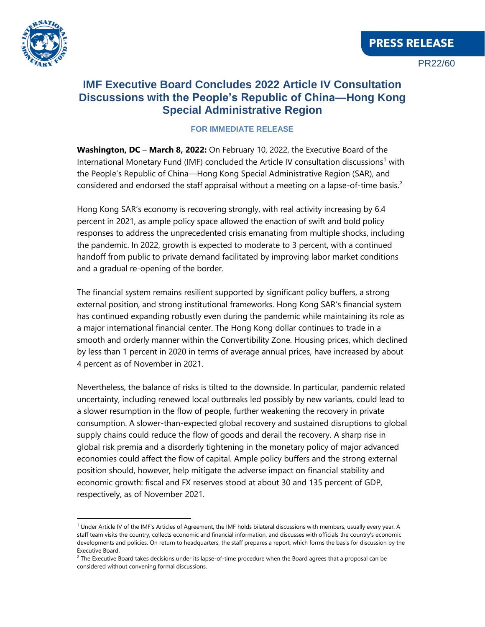

 $\overline{a}$ 

## **IMF Executive Board Concludes 2022 Article IV Consultation Discussions with the People's Republic of China—Hong Kong Special Administrative Region**

## **FOR IMMEDIATE RELEASE**

**Washington, DC** – **March 8, 2022:** On February 10, 2022, the Executive Board of the International Monetary Fund (IMF) concluded the Article IV consultation discussions<sup>1</sup> with the People's Republic of China—Hong Kong Special Administrative Region (SAR), and considered and endorsed the staff appraisal without a meeting on a lapse-of-time basis.<sup>2</sup>

Hong Kong SAR's economy is recovering strongly, with real activity increasing by 6.4 percent in 2021, as ample policy space allowed the enaction of swift and bold policy responses to address the unprecedented crisis emanating from multiple shocks, including the pandemic. In 2022, growth is expected to moderate to 3 percent, with a continued handoff from public to private demand facilitated by improving labor market conditions and a gradual re-opening of the border.

The financial system remains resilient supported by significant policy buffers, a strong external position, and strong institutional frameworks. Hong Kong SAR's financial system has continued expanding robustly even during the pandemic while maintaining its role as a major international financial center. The Hong Kong dollar continues to trade in a smooth and orderly manner within the Convertibility Zone. Housing prices, which declined by less than 1 percent in 2020 in terms of average annual prices, have increased by about 4 percent as of November in 2021.

Nevertheless, the balance of risks is tilted to the downside. In particular, pandemic related uncertainty, including renewed local outbreaks led possibly by new variants, could lead to a slower resumption in the flow of people, further weakening the recovery in private consumption. A slower-than-expected global recovery and sustained disruptions to global supply chains could reduce the flow of goods and derail the recovery. A sharp rise in global risk premia and a disorderly tightening in the monetary policy of major advanced economies could affect the flow of capital. Ample policy buffers and the strong external position should, however, help mitigate the adverse impact on financial stability and economic growth: fiscal and FX reserves stood at about 30 and 135 percent of GDP, respectively, as of November 2021.

 $1$  Under Article IV of the IMF's Articles of Agreement, the IMF holds bilateral discussions with members, usually every year. A staff team visits the country, collects economic and financial information, and discusses with officials the country's economic developments and policies. On return to headquarters, the staff prepares a report, which forms the basis for discussion by the Executive Board.

 $^2$  The Executive Board takes decisions under its lapse-of-time procedure when the Board agrees that a proposal can be considered without convening formal discussions.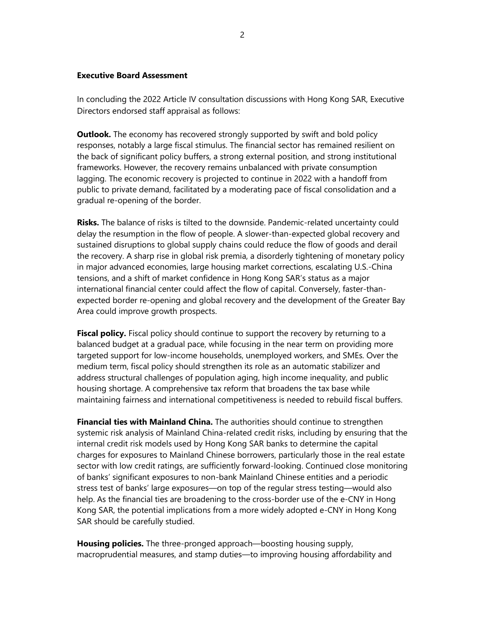## **Executive Board Assessment**

In concluding the 2022 Article IV consultation discussions with Hong Kong SAR, Executive Directors endorsed staff appraisal as follows:

**Outlook.** The economy has recovered strongly supported by swift and bold policy responses, notably a large fiscal stimulus. The financial sector has remained resilient on the back of significant policy buffers, a strong external position, and strong institutional frameworks. However, the recovery remains unbalanced with private consumption lagging. The economic recovery is projected to continue in 2022 with a handoff from public to private demand, facilitated by a moderating pace of fiscal consolidation and a gradual re-opening of the border.

**Risks.** The balance of risks is tilted to the downside. Pandemic-related uncertainty could delay the resumption in the flow of people. A slower-than-expected global recovery and sustained disruptions to global supply chains could reduce the flow of goods and derail the recovery. A sharp rise in global risk premia, a disorderly tightening of monetary policy in major advanced economies, large housing market corrections, escalating U.S.-China tensions, and a shift of market confidence in Hong Kong SAR's status as a major international financial center could affect the flow of capital. Conversely, faster-thanexpected border re-opening and global recovery and the development of the Greater Bay Area could improve growth prospects.

**Fiscal policy.** Fiscal policy should continue to support the recovery by returning to a balanced budget at a gradual pace, while focusing in the near term on providing more targeted support for low-income households, unemployed workers, and SMEs. Over the medium term, fiscal policy should strengthen its role as an automatic stabilizer and address structural challenges of population aging, high income inequality, and public housing shortage. A comprehensive tax reform that broadens the tax base while maintaining fairness and international competitiveness is needed to rebuild fiscal buffers.

**Financial ties with Mainland China.** The authorities should continue to strengthen systemic risk analysis of Mainland China-related credit risks, including by ensuring that the internal credit risk models used by Hong Kong SAR banks to determine the capital charges for exposures to Mainland Chinese borrowers, particularly those in the real estate sector with low credit ratings, are sufficiently forward-looking. Continued close monitoring of banks' significant exposures to non-bank Mainland Chinese entities and a periodic stress test of banks' large exposures—on top of the regular stress testing—would also help. As the financial ties are broadening to the cross-border use of the e-CNY in Hong Kong SAR, the potential implications from a more widely adopted e-CNY in Hong Kong SAR should be carefully studied.

**Housing policies.** The three-pronged approach—boosting housing supply, macroprudential measures, and stamp duties—to improving housing affordability and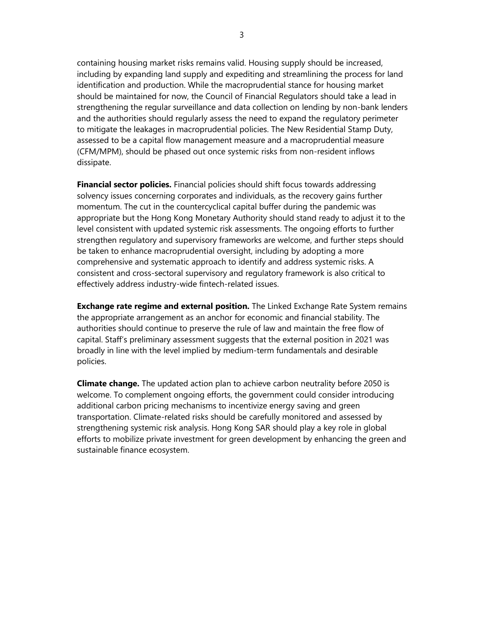containing housing market risks remains valid. Housing supply should be increased, including by expanding land supply and expediting and streamlining the process for land identification and production. While the macroprudential stance for housing market should be maintained for now, the Council of Financial Regulators should take a lead in strengthening the regular surveillance and data collection on lending by non-bank lenders and the authorities should regularly assess the need to expand the regulatory perimeter to mitigate the leakages in macroprudential policies. The New Residential Stamp Duty, assessed to be a capital flow management measure and a macroprudential measure (CFM/MPM), should be phased out once systemic risks from non-resident inflows dissipate.

**Financial sector policies.** Financial policies should shift focus towards addressing solvency issues concerning corporates and individuals, as the recovery gains further momentum. The cut in the countercyclical capital buffer during the pandemic was appropriate but the Hong Kong Monetary Authority should stand ready to adjust it to the level consistent with updated systemic risk assessments. The ongoing efforts to further strengthen regulatory and supervisory frameworks are welcome, and further steps should be taken to enhance macroprudential oversight, including by adopting a more comprehensive and systematic approach to identify and address systemic risks. A consistent and cross-sectoral supervisory and regulatory framework is also critical to effectively address industry-wide fintech-related issues.

**Exchange rate regime and external position.** The Linked Exchange Rate System remains the appropriate arrangement as an anchor for economic and financial stability. The authorities should continue to preserve the rule of law and maintain the free flow of capital. Staff's preliminary assessment suggests that the external position in 2021 was broadly in line with the level implied by medium-term fundamentals and desirable policies.

**Climate change.** The updated action plan to achieve carbon neutrality before 2050 is welcome. To complement ongoing efforts, the government could consider introducing additional carbon pricing mechanisms to incentivize energy saving and green transportation. Climate-related risks should be carefully monitored and assessed by strengthening systemic risk analysis. Hong Kong SAR should play a key role in global efforts to mobilize private investment for green development by enhancing the green and sustainable finance ecosystem.